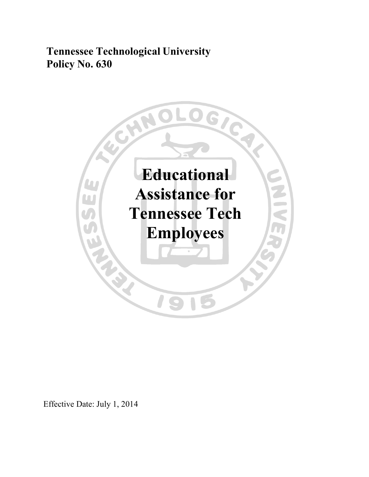**Tennessee Technological University Policy No. 630**



Effective Date: July 1, 2014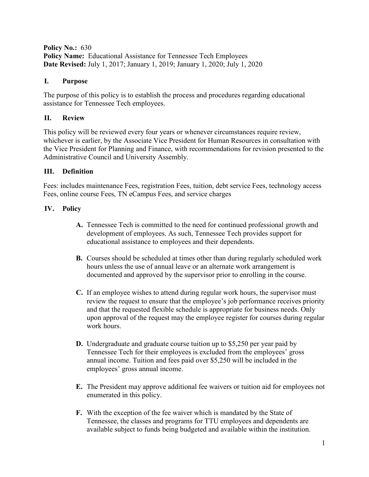**Policy No.:** 630 **Policy Name:** Educational Assistance for Tennessee Tech Employees **Date Revised:** July 1, 2017; January 1, 2019; January 1, 2020; July 1, 2020

#### **I. Purpose**

The purpose of this policy is to establish the process and procedures regarding educational assistance for Tennessee Tech employees.

## **II. Review**

This policy will be reviewed every four years or whenever circumstances require review, whichever is earlier, by the Associate Vice President for Human Resources in consultation with the Vice President for Planning and Finance, with recommendations for revision presented to the Administrative Council and University Assembly.

### **III. Definition**

Fees: includes maintenance Fees, registration Fees, tuition, debt service Fees, technology access Fees, online course Fees, TN eCampus Fees, and service charges

### **IV. Policy**

- **A.** Tennessee Tech is committed to the need for continued professional growth and development of employees. As such, Tennessee Tech provides support for educational assistance to employees and their dependents.
- **B.** Courses should be scheduled at times other than during regularly scheduled work hours unless the use of annual leave or an alternate work arrangement is documented and approved by the supervisor prior to enrolling in the course.
- **C.** If an employee wishes to attend during regular work hours, the supervisor must review the request to ensure that the employee's job performance receives priority and that the requested flexible schedule is appropriate for business needs. Only upon approval of the request may the employee register for courses during regular work hours.
- **D.** Undergraduate and graduate course tuition up to \$5,250 per year paid by Tennessee Tech for their employees is excluded from the employees' gross annual income. Tuition and fees paid over \$5,250 will be included in the employees' gross annual income.
- **E.** The President may approve additional fee waivers or tuition aid for employees not enumerated in this policy.
- **F.** With the exception of the fee waiver which is mandated by the State of Tennessee, the classes and programs for TTU employees and dependents are available subject to funds being budgeted and available within the institution.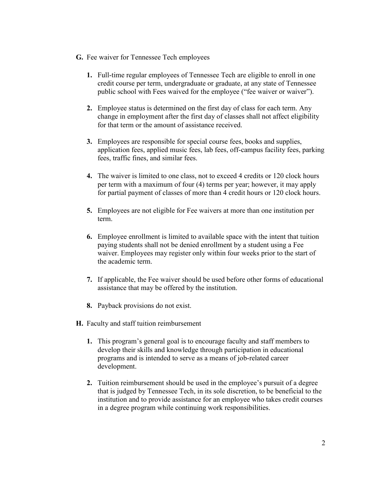- **G.** Fee waiver for Tennessee Tech employees
	- **1.** Full-time regular employees of Tennessee Tech are eligible to enroll in one credit course per term, undergraduate or graduate, at any state of Tennessee public school with Fees waived for the employee ("fee waiver or waiver").
	- **2.** Employee status is determined on the first day of class for each term. Any change in employment after the first day of classes shall not affect eligibility for that term or the amount of assistance received.
	- **3.** Employees are responsible for special course fees, books and supplies, application fees, applied music fees, lab fees, off-campus facility fees, parking fees, traffic fines, and similar fees.
	- **4.** The waiver is limited to one class, not to exceed 4 credits or 120 clock hours per term with a maximum of four (4) terms per year; however, it may apply for partial payment of classes of more than 4 credit hours or 120 clock hours.
	- **5.** Employees are not eligible for Fee waivers at more than one institution per term.
	- **6.** Employee enrollment is limited to available space with the intent that tuition paying students shall not be denied enrollment by a student using a Fee waiver. Employees may register only within four weeks prior to the start of the academic term.
	- **7.** If applicable, the Fee waiver should be used before other forms of educational assistance that may be offered by the institution.
	- **8.** Payback provisions do not exist.
- **H.** Faculty and staff tuition reimbursement
	- **1.** This program's general goal is to encourage faculty and staff members to develop their skills and knowledge through participation in educational programs and is intended to serve as a means of job-related career development.
	- **2.** Tuition reimbursement should be used in the employee's pursuit of a degree that is judged by Tennessee Tech, in its sole discretion, to be beneficial to the institution and to provide assistance for an employee who takes credit courses in a degree program while continuing work responsibilities.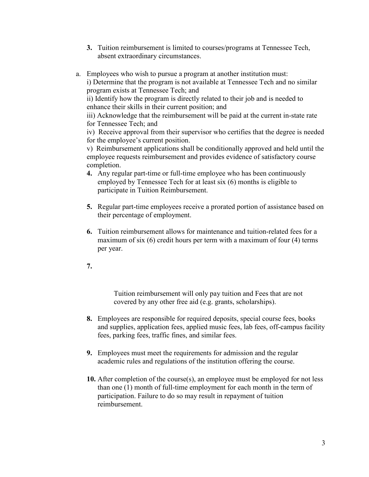- **3.** Tuition reimbursement is limited to courses/programs at Tennessee Tech, absent extraordinary circumstances.
- a. Employees who wish to pursue a program at another institution must: i) Determine that the program is not available at Tennessee Tech and no similar program exists at Tennessee Tech; and ii) Identify how the program is directly related to their job and is needed to enhance their skills in their current position; and iii) Acknowledge that the reimbursement will be paid at the current in-state rate for Tennessee Tech; and iv) Receive approval from their supervisor who certifies that the degree is needed for the employee's current position. v) Reimbursement applications shall be conditionally approved and held until the

employee requests reimbursement and provides evidence of satisfactory course completion.

- **4.** Any regular part-time or full-time employee who has been continuously employed by Tennessee Tech for at least six (6) months is eligible to participate in Tuition Reimbursement.
- **5.** Regular part-time employees receive a prorated portion of assistance based on their percentage of employment.
- **6.** Tuition reimbursement allows for maintenance and tuition-related fees for a maximum of six (6) credit hours per term with a maximum of four (4) terms per year.
- **7.**

Tuition reimbursement will only pay tuition and Fees that are not covered by any other free aid (e.g. grants, scholarships).

- **8.** Employees are responsible for required deposits, special course fees, books and supplies, application fees, applied music fees, lab fees, off-campus facility fees, parking fees, traffic fines, and similar fees.
- **9.** Employees must meet the requirements for admission and the regular academic rules and regulations of the institution offering the course.
- **10.** After completion of the course(s), an employee must be employed for not less than one (1) month of full-time employment for each month in the term of participation. Failure to do so may result in repayment of tuition reimbursement.